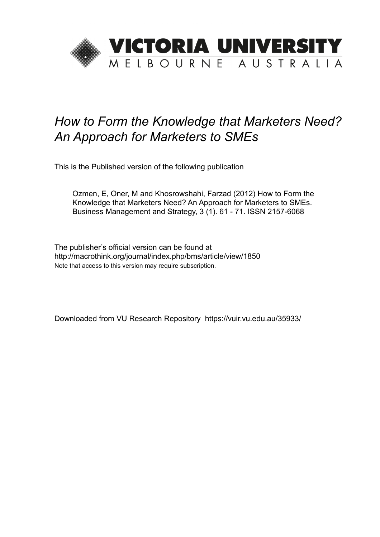

## *How to Form the Knowledge that Marketers Need? An Approach for Marketers to SMEs*

This is the Published version of the following publication

Ozmen, E, Oner, M and Khosrowshahi, Farzad (2012) How to Form the Knowledge that Marketers Need? An Approach for Marketers to SMEs. Business Management and Strategy, 3 (1). 61 - 71. ISSN 2157-6068

The publisher's official version can be found at http://macrothink.org/journal/index.php/bms/article/view/1850 Note that access to this version may require subscription.

Downloaded from VU Research Repository https://vuir.vu.edu.au/35933/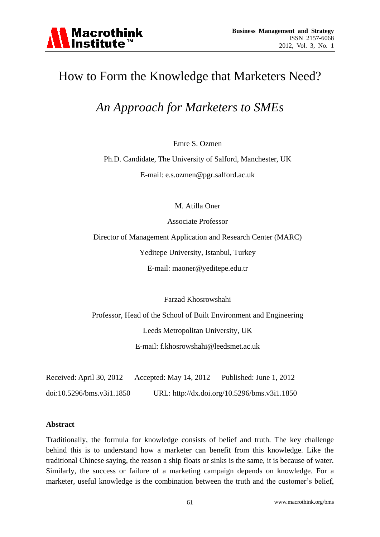

### How to Form the Knowledge that Marketers Need?

## *An Approach for Marketers to SMEs*

Emre S. Ozmen

Ph.D. Candidate, The University of Salford, Manchester, UK

E-mail: e.s.ozmen@pgr.salford.ac.uk

M. Atilla Oner

Associate Professor

Director of Management Application and Research Center (MARC)

Yeditepe University, Istanbul, Turkey

E-mail: maoner@yeditepe.edu.tr

Farzad Khosrowshahi

Professor, Head of the School of Built Environment and Engineering Leeds Metropolitan University, UK E-mail: [f.khosrowshahi@leedsmet.ac.uk](mailto:f.khosrowshahi@leedsmet.ac.uk)

| Received: April 30, 2012  | Accepted: May $14, 2012$ | Published: June 1, 2012                      |
|---------------------------|--------------------------|----------------------------------------------|
| doi:10.5296/bms.v3i1.1850 |                          | URL: http://dx.doi.org/10.5296/bms.v3i1.1850 |

#### **Abstract**

Traditionally, the formula for knowledge consists of belief and truth. The key challenge behind this is to understand how a marketer can benefit from this knowledge. Like the traditional Chinese saying, the reason a ship floats or sinks is the same, it is because of water. Similarly, the success or failure of a marketing campaign depends on knowledge. For a marketer, useful knowledge is the combination between the truth and the customer's belief,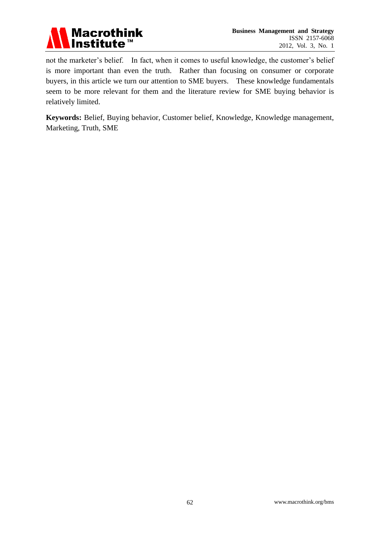

not the marketer's belief. In fact, when it comes to useful knowledge, the customer's belief is more important than even the truth. Rather than focusing on consumer or corporate buyers, in this article we turn our attention to SME buyers. These knowledge fundamentals seem to be more relevant for them and the literature review for SME buying behavior is relatively limited.

**Keywords:** Belief, Buying behavior, Customer belief, Knowledge, Knowledge management, Marketing, Truth, SME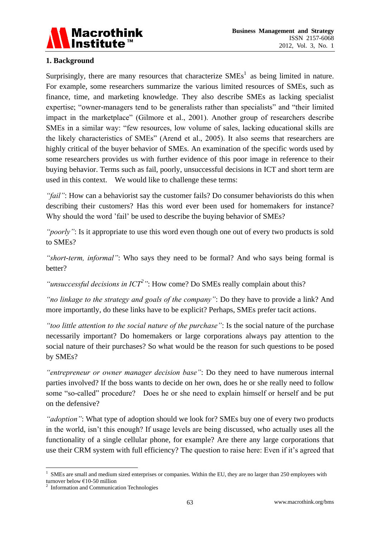

#### **1. Background**

Surprisingly, there are many resources that characterize  $SMEs<sup>1</sup>$  as being limited in nature. For example, some researchers summarize the various limited resources of SMEs, such as finance, time, and marketing knowledge. They also describe SMEs as lacking specialist expertise; "owner-managers tend to be generalists rather than specialists" and "their limited impact in the marketplace" (Gilmore et al., 2001). Another group of researchers describe SMEs in a similar way: "few resources, low volume of sales, lacking educational skills are the likely characteristics of SMEs" (Arend et al., 2005). It also seems that researchers are highly critical of the buyer behavior of SMEs. An examination of the specific words used by some researchers provides us with further evidence of this poor image in reference to their buying behavior. Terms such as fail, poorly, unsuccessful decisions in ICT and short term are used in this context. We would like to challenge these terms:

*"fail"*: How can a behaviorist say the customer fails? Do consumer behaviorists do this when describing their customers? Has this word ever been used for homemakers for instance? Why should the word "fail" be used to describe the buying behavior of SMEs?

*"poorly"*: Is it appropriate to use this word even though one out of every two products is sold to SMEs?

*"short-term, informal"*: Who says they need to be formal? And who says being formal is better?

*"unsuccessful decisions in ICT<sup>2</sup>"*: How come? Do SMEs really complain about this?

*"no linkage to the strategy and goals of the company"*: Do they have to provide a link? And more importantly, do these links have to be explicit? Perhaps, SMEs prefer tacit actions.

*"too little attention to the social nature of the purchase"*: Is the social nature of the purchase necessarily important? Do homemakers or large corporations always pay attention to the social nature of their purchases? So what would be the reason for such questions to be posed by SMEs?

*"entrepreneur or owner manager decision base"*: Do they need to have numerous internal parties involved? If the boss wants to decide on her own, does he or she really need to follow some "so-called" procedure? Does he or she need to explain himself or herself and be put on the defensive?

*"adoption"*: What type of adoption should we look for? SMEs buy one of every two products in the world, isn"t this enough? If usage levels are being discussed, who actually uses all the functionality of a single cellular phone, for example? Are there any large corporations that use their CRM system with full efficiency? The question to raise here: Even if it's agreed that

<sup>&</sup>lt;u>.</u> <sup>1</sup> SMEs are small and medium sized enterprises or companies. Within the EU, they are no larger than 250 employees with turnover below €10-50 million

<sup>&</sup>lt;sup>2</sup> Information and Communication Technologies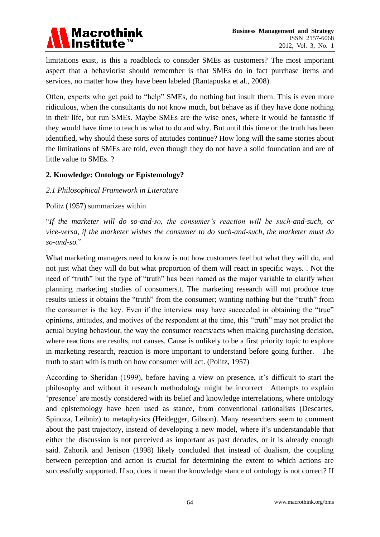

limitations exist, is this a roadblock to consider SMEs as customers? The most important aspect that a behaviorist should remember is that SMEs do in fact purchase items and services, no matter how they have been labeled (Rantapuska et al., 2008).

Often, experts who get paid to "help" SMEs, do nothing but insult them. This is even more ridiculous, when the consultants do not know much, but behave as if they have done nothing in their life, but run SMEs. Maybe SMEs are the wise ones, where it would be fantastic if they would have time to teach us what to do and why. But until this time or the truth has been identified, why should these sorts of attitudes continue? How long will the same stories about the limitations of SMEs are told, even though they do not have a solid foundation and are of little value to SMEs. ?

#### **2. Knowledge: Ontology or Epistemology?**

#### *2.1 Philosophical Framework in Literature*

#### Politz (1957) summarizes within

"*If the marketer will do so-and-so, the consumer's reaction will be such-and-such, or vice-versa, if the marketer wishes the consumer to do such-and-such, the marketer must do so-and-so.*"

What marketing managers need to know is not how customers feel but what they will do, and not just what they will do but what proportion of them will react in specific ways. . Not the need of "truth" but the type of "truth" has been named as the major variable to clarify when planning marketing studies of consumers.t. The marketing research will not produce true results unless it obtains the "truth" from the consumer; wanting nothing but the "truth" from the consumer is the key. Even if the interview may have succeeded in obtaining the "true" opinions, attitudes, and motives of the respondent at the time, this "truth" may not predict the actual buying behaviour, the way the consumer reacts/acts when making purchasing decision, where reactions are results, not causes. Cause is unlikely to be a first priority topic to explore in marketing research, reaction is more important to understand before going further. The truth to start with is truth on how consumer will act. (Politz, 1957)

According to Sheridan (1999), before having a view on presence, it"s difficult to start the philosophy and without it research methodology might be incorrect Attempts to explain 'presence' are mostly considered with its belief and knowledge interrelations, where ontology and epistemology have been used as stance, from conventional rationalists (Descartes, Spinoza, Leibniz) to metaphysics (Heidegger, Gibson). Many researchers seem to comment about the past trajectory, instead of developing a new model, where it's understandable that either the discussion is not perceived as important as past decades, or it is already enough said. Zahorik and Jenison (1998) likely concluded that instead of dualism, the coupling between perception and action is crucial for determining the extent to which actions are successfully supported. If so, does it mean the knowledge stance of ontology is not correct? If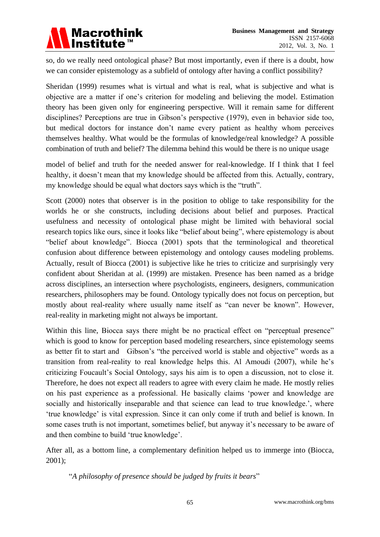

so, do we really need ontological phase? But most importantly, even if there is a doubt, how we can consider epistemology as a subfield of ontology after having a conflict possibility?

Sheridan (1999) resumes what is virtual and what is real, what is subjective and what is objective are a matter if one"s criterion for modeling and believing the model. Estimation theory has been given only for engineering perspective. Will it remain same for different disciplines? Perceptions are true in Gibson's perspective (1979), even in behavior side too, but medical doctors for instance don"t name every patient as healthy whom perceives themselves healthy. What would be the formulas of knowledge/real knowledge? A possible combination of truth and belief? The dilemma behind this would be there is no unique usage

model of belief and truth for the needed answer for real-knowledge. If I think that I feel healthy, it doesn't mean that my knowledge should be affected from this. Actually, contrary, my knowledge should be equal what doctors says which is the "truth".

Scott (2000) notes that observer is in the position to oblige to take responsibility for the worlds he or she constructs, including decisions about belief and purposes. Practical usefulness and necessity of ontological phase might be limited with behavioral social research topics like ours, since it looks like "belief about being", where epistemology is about "belief about knowledge". Biocca (2001) spots that the terminological and theoretical confusion about difference between epistemology and ontology causes modeling problems. Actually, result of Biocca (2001) is subjective like he tries to criticize and surprisingly very confident about Sheridan at al. (1999) are mistaken. Presence has been named as a bridge across disciplines, an intersection where psychologists, engineers, designers, communication researchers, philosophers may be found. Ontology typically does not focus on perception, but mostly about real-reality where usually name itself as "can never be known". However, real-reality in marketing might not always be important.

Within this line, Biocca says there might be no practical effect on "perceptual presence" which is good to know for perception based modeling researchers, since epistemology seems as better fit to start and Gibson"s "the perceived world is stable and objective" words as a transition from real-reality to real knowledge helps this. Al Amoudi (2007), while he"s criticizing Foucault"s Social Ontology, says his aim is to open a discussion, not to close it. Therefore, he does not expect all readers to agree with every claim he made. He mostly relies on his past experience as a professional. He basically claims "power and knowledge are socially and historically inseparable and that science can lead to true knowledge.', where "true knowledge" is vital expression. Since it can only come if truth and belief is known. In some cases truth is not important, sometimes belief, but anyway it's necessary to be aware of and then combine to build "true knowledge".

After all, as a bottom line, a complementary definition helped us to immerge into (Biocca, 2001);

"*A philosophy of presence should be judged by fruits it bears*"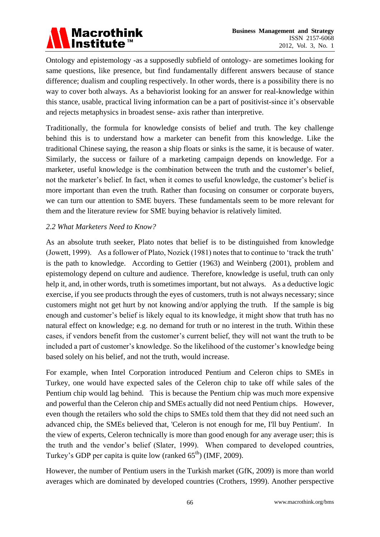# Macrothink<br>|Institute™

Ontology and epistemology -as a supposedly subfield of ontology- are sometimes looking for same questions, like presence, but find fundamentally different answers because of stance difference; dualism and coupling respectively. In other words, there is a possibility there is no way to cover both always. As a behaviorist looking for an answer for real-knowledge within this stance, usable, practical living information can be a part of positivist-since it's observable and rejects metaphysics in broadest sense- axis rather than interpretive.

Traditionally, the formula for knowledge consists of belief and truth. The key challenge behind this is to understand how a marketer can benefit from this knowledge. Like the traditional Chinese saying, the reason a ship floats or sinks is the same, it is because of water. Similarly, the success or failure of a marketing campaign depends on knowledge. For a marketer, useful knowledge is the combination between the truth and the customer's belief, not the marketer"s belief. In fact, when it comes to useful knowledge, the customer"s belief is more important than even the truth. Rather than focusing on consumer or corporate buyers, we can turn our attention to SME buyers. These fundamentals seem to be more relevant for them and the literature review for SME buying behavior is relatively limited.

#### *2.2 What Marketers Need to Know?*

As an absolute truth seeker, Plato notes that belief is to be distinguished from knowledge (Jowett, 1999). As a follower of Plato, Nozick (1981) notes that to continue to "track the truth" is the path to knowledge. According to Gettier (1963) and Weinberg (2001), problem and epistemology depend on culture and audience. Therefore, knowledge is useful, truth can only help it, and, in other words, truth is sometimes important, but not always. As a deductive logic exercise, if you see products through the eyes of customers, truth is not always necessary; since customers might not get hurt by not knowing and/or applying the truth. If the sample is big enough and customer's belief is likely equal to its knowledge, it might show that truth has no natural effect on knowledge; e.g. no demand for truth or no interest in the truth. Within these cases, if vendors benefit from the customer"s current belief, they will not want the truth to be included a part of customer's knowledge. So the likelihood of the customer's knowledge being based solely on his belief, and not the truth, would increase.

For example, when Intel Corporation introduced Pentium and Celeron chips to SMEs in Turkey, one would have expected sales of the Celeron chip to take off while sales of the Pentium chip would lag behind. This is because the Pentium chip was much more expensive and powerful than the Celeron chip and SMEs actually did not need Pentium chips. However, even though the retailers who sold the chips to SMEs told them that they did not need such an advanced chip, the SMEs believed that, 'Celeron is not enough for me, I'll buy Pentium'. In the view of experts, Celeron technically is more than good enough for any average user; this is the truth and the vendor"s belief (Slater, 1999). When compared to developed countries, Turkey's GDP per capita is quite low (ranked 65<sup>th</sup>) (IMF, 2009).

However, the number of Pentium users in the Turkish market (GfK, 2009) is more than world averages which are dominated by developed countries (Crothers, 1999). Another perspective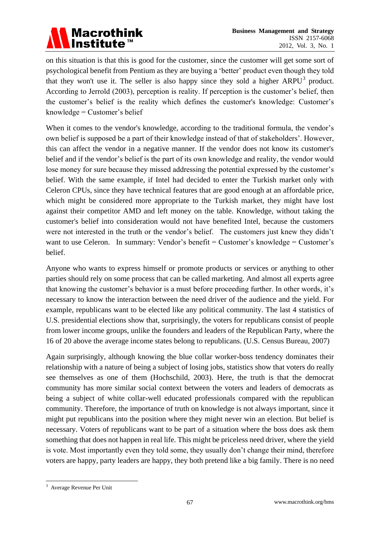

on this situation is that this is good for the customer, since the customer will get some sort of psychological benefit from Pentium as they are buying a "better" product even though they told that they won't use it. The seller is also happy since they sold a higher  $ARPU<sup>3</sup>$  product. According to Jerrold (2003), perception is reality. If perception is the customer's belief, then the customer"s belief is the reality which defines the customer's knowledge: Customer"s knowledge = Customer"s belief

When it comes to the vendor's knowledge, according to the traditional formula, the vendor's own belief is supposed be a part of their knowledge instead of that of stakeholders". However, this can affect the vendor in a negative manner. If the vendor does not know its customer's belief and if the vendor"s belief is the part of its own knowledge and reality, the vendor would lose money for sure because they missed addressing the potential expressed by the customer's belief. With the same example, if Intel had decided to enter the Turkish market only with Celeron CPUs, since they have technical features that are good enough at an affordable price, which might be considered more appropriate to the Turkish market, they might have lost against their competitor AMD and left money on the table. Knowledge, without taking the customer's belief into consideration would not have benefited Intel, because the customers were not interested in the truth or the vendor's belief. The customers just knew they didn't want to use Celeron. In summary: Vendor's benefit  $=$  Customer's knowledge  $=$  Customer's belief.

Anyone who wants to express himself or promote products or services or anything to other parties should rely on some process that can be called marketing. And almost all experts agree that knowing the customer's behavior is a must before proceeding further. In other words, it's necessary to know the interaction between the need driver of the audience and the yield. For example, republicans want to be elected like any political community. The last 4 statistics of U.S. presidential elections show that, surprisingly, the voters for republicans consist of people from lower income groups, unlike the founders and leaders of the Republican Party, where the 16 of 20 above the average income states belong to republicans. (U.S. Census Bureau, 2007)

Again surprisingly, although knowing the blue collar worker-boss tendency dominates their relationship with a nature of being a subject of losing jobs, statistics show that voters do really see themselves as one of them (Hochschild, 2003). Here, the truth is that the democrat community has more similar social context between the voters and leaders of democrats as being a subject of white collar-well educated professionals compared with the republican community. Therefore, the importance of truth on knowledge is not always important, since it might put republicans into the position where they might never win an election. But belief is necessary. Voters of republicans want to be part of a situation where the boss does ask them something that does not happen in real life. This might be priceless need driver, where the yield is vote. Most importantly even they told some, they usually don"t change their mind, therefore voters are happy, party leaders are happy, they both pretend like a big family. There is no need

<sup>1</sup> <sup>3</sup> Average Revenue Per Unit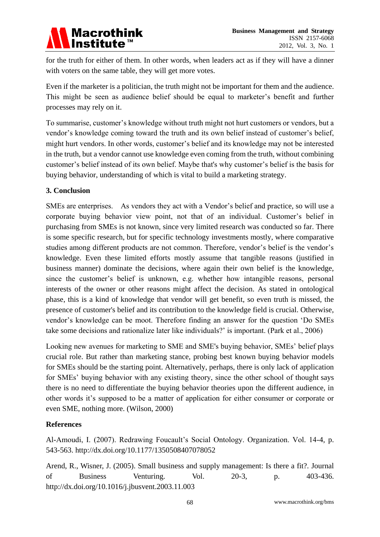

for the truth for either of them. In other words, when leaders act as if they will have a dinner with voters on the same table, they will get more votes.

Even if the marketer is a politician, the truth might not be important for them and the audience. This might be seen as audience belief should be equal to marketer's benefit and further processes may rely on it.

To summarise, customer"s knowledge without truth might not hurt customers or vendors, but a vendor"s knowledge coming toward the truth and its own belief instead of customer"s belief, might hurt vendors. In other words, customer"s belief and its knowledge may not be interested in the truth, but a vendor cannot use knowledge even coming from the truth, without combining customer"s belief instead of its own belief. Maybe that's why customer"s belief is the basis for buying behavior, understanding of which is vital to build a marketing strategy.

#### **3. Conclusion**

SMEs are enterprises. As vendors they act with a Vendor"s belief and practice, so will use a corporate buying behavior view point, not that of an individual. Customer"s belief in purchasing from SMEs is not known, since very limited research was conducted so far. There is some specific research, but for specific technology investments mostly, where comparative studies among different products are not common. Therefore, vendor's belief is the vendor's knowledge. Even these limited efforts mostly assume that tangible reasons (justified in business manner) dominate the decisions, where again their own belief is the knowledge, since the customer's belief is unknown, e.g. whether how intangible reasons, personal interests of the owner or other reasons might affect the decision. As stated in ontological phase, this is a kind of knowledge that vendor will get benefit, so even truth is missed, the presence of customer's belief and its contribution to the knowledge field is crucial. Otherwise, vendor"s knowledge can be moot. Therefore finding an answer for the question "Do SMEs take some decisions and rationalize later like individuals?" is important. (Park et al., 2006)

Looking new avenues for marketing to SME and SME's buying behavior, SMEs' belief plays crucial role. But rather than marketing stance, probing best known buying behavior models for SMEs should be the starting point. Alternatively, perhaps, there is only lack of application for SMEs" buying behavior with any existing theory, since the other school of thought says there is no need to differentiate the buying behavior theories upon the different audience, in other words it"s supposed to be a matter of application for either consumer or corporate or even SME, nothing more. (Wilson, 2000)

#### **References**

Al-Amoudi, I. (2007). Redrawing Foucault"s Social Ontology. Organization. Vol. 14-4, p. 543-563. http://dx.doi.org/10.1177/1350508407078052

Arend, R., Wisner, J. (2005). Small business and supply management: Is there a fit?. Journal of Business Venturing. Vol. 20-3, p. 403-436. http://dx.doi.org/10.1016/j.jbusvent.2003.11.003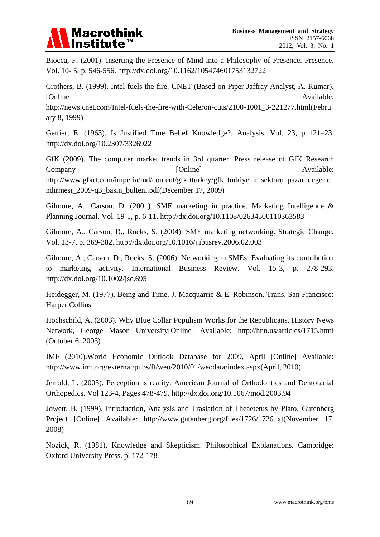

Biocca, F. (2001). Inserting the Presence of Mind into a Philosophy of Presence. Presence. Vol. 10- 5, p. 546-556. http://dx.doi.org/10.1162/105474601753132722

Crothers, B. (1999). Intel fuels the fire. CNET (Based on Piper Jaffray Analyst, A. Kumar). [Online] Available: http://news.cnet.com/Intel-fuels-the-fire-with-Celeron-cuts/2100-1001\_3-221277.html(Febru ary 8, 1999)

Gettier, E. (1963). Is Justified True Belief Knowledge?. Analysis. Vol. 23, p. 121–23. <http://dx.doi.org/10.2307/3326922>

GfK (2009). The computer market trends in 3rd quarter. Press release of GfK Research Company [Online] **Company** [Online] [http://www.gfkrt.com/imperia/md/content/gfkrtturkey/gfk\\_turkiye\\_it\\_sektoru\\_pazar\\_degerle](http://www.gfkrt.com/imperia/md/content/gfkrtturkey/gfk_turkiye_it_sektoru_pazar_degerlendirmesi_2009-q3_basin_bulteni.pdf) [ndirmesi\\_2009-q3\\_basin\\_bulteni.pdf\(](http://www.gfkrt.com/imperia/md/content/gfkrtturkey/gfk_turkiye_it_sektoru_pazar_degerlendirmesi_2009-q3_basin_bulteni.pdf)December 17, 2009)

Gilmore, A., Carson, D. (2001). SME marketing in practice. Marketing Intelligence & Planning Journal. Vol. 19-1, p. 6-11.<http://dx.doi.org/10.1108/02634500110363583>

Gilmore, A., Carson, D., Rocks, S. (2004). SME marketing networking. Strategic Change. Vol. 13-7, p. 369-382.<http://dx.doi.org/10.1016/j.ibusrev.2006.02.003>

Gilmore, A., Carson, D., Rocks, S. (2006). Networking in SMEs: Evaluating its contribution to marketing activity. International Business Review. Vol. 15-3, p. 278-293. <http://dx.doi.org/10.1002/jsc.695>

Heidegger, M. (1977). Being and Time. J. Macquarrie & E. Robinson, Trans. San Francisco: Harper Collins

Hochschild, A. (2003). Why Blue Collar Populism Works for the Republicans. History News Network, George Mason University[Online] Available: <http://hnn.us/articles/1715.html> (October 6, 2003)

IMF (2010).World Economic Outlook Database for 2009, April [Online] Available: [http://www.imf.org/external/pubs/ft/weo/2010/01/weodata/index.aspx\(](http://www.imf.org/external/pubs/ft/weo/2010/01/weodata/index.aspx)April, 2010)

Jerrold, L. (2003). Perception is reality. American Journal of Orthodontics and Dentofacial Orthopedics. Vol 123-4, Pages 478-479. http://dx.doi.org/10.1067/mod.2003.94

Jowett, B. (1999). Introduction, Analysis and Traslation of Theaetetus by Plato. Gutenberg Project [Online] Available: [http://www.gutenberg.org/files/1726/1726.txt\(](http://www.gutenberg.org/files/1726/1726.txt)November 17, 2008)

Nozick, R. (1981). Knowledge and Skepticism. Philosophical Explanations. Cambridge: Oxford University Press. p. 172-178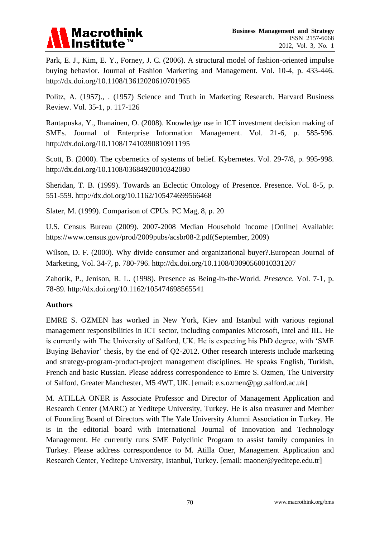

Park, E. J., Kim, E. Y., Forney, J. C. (2006). A structural model of fashion-oriented impulse buying behavior. Journal of Fashion Marketing and Management. Vol. 10-4, p. 433-446. <http://dx.doi.org/10.1108/13612020610701965>

Politz, A. (1957)., . (1957) Science and Truth in Marketing Research. Harvard Business Review. Vol. 35-1, p. 117-126

Rantapuska, Y., Ihanainen, O. (2008). Knowledge use in ICT investment decision making of SMEs. Journal of Enterprise Information Management. Vol. 21-6, p. 585-596. <http://dx.doi.org/10.1108/17410390810911195>

Scott, B. (2000). The cybernetics of systems of belief. Kybernetes. Vol. 29-7/8, p. 995-998. <http://dx.doi.org/10.1108/03684920010342080>

Sheridan, T. B. (1999). Towards an Eclectic Ontology of Presence. Presence. Vol. 8-5, p. 551-559.<http://dx.doi.org/10.1162/105474699566468>

Slater, M. (1999). Comparison of CPUs. PC Mag, 8, p. 20

U.S. Census Bureau (2009). 2007-2008 Median Household Income [Online] Available: [https://www.census.gov/prod/2009pubs/acsbr08-2.pdf\(](https://www.census.gov/prod/2009pubs/acsbr08-2.pdf)September, 2009)

Wilson, D. F. (2000). Why divide consumer and organizational buyer?.European Journal of Marketing, Vol. 34-7, p. 780-796.<http://dx.doi.org/10.1108/03090560010331207>

Zahorik, P., Jenison, R. L. (1998). Presence as Being-in-the-World. *Presence*. Vol. 7-1, p. 78-89.<http://dx.doi.org/10.1162/105474698565541>

#### **Authors**

EMRE S. OZMEN has worked in New York, Kiev and Istanbul with various regional management responsibilities in ICT sector, including companies Microsoft, Intel and IIL. He is currently with The University of Salford, UK. He is expecting his PhD degree, with "SME Buying Behavior' thesis, by the end of Q2-2012. Other research interests include marketing and strategy-program-product-project management disciplines. He speaks English, Turkish, French and basic Russian. Please address correspondence to Emre S. Ozmen, The University of Salford, Greater Manchester, M5 4WT, UK. [email: e.s.ozmen@pgr.salford.ac.uk]

M. ATILLA ONER is Associate Professor and Director of Management Application and Research Center (MARC) at Yeditepe University, Turkey. He is also treasurer and Member of Founding Board of Directors with The Yale University Alumni Association in Turkey. He is in the editorial board with International Journal of Innovation and Technology Management. He currently runs SME Polyclinic Program to assist family companies in Turkey. Please address correspondence to M. Atilla Oner, Management Application and Research Center, Yeditepe University, Istanbul, Turkey. [email: [maoner@yeditepe.edu.tr\]](mailto:maoner@yeditepe.edu.tr)